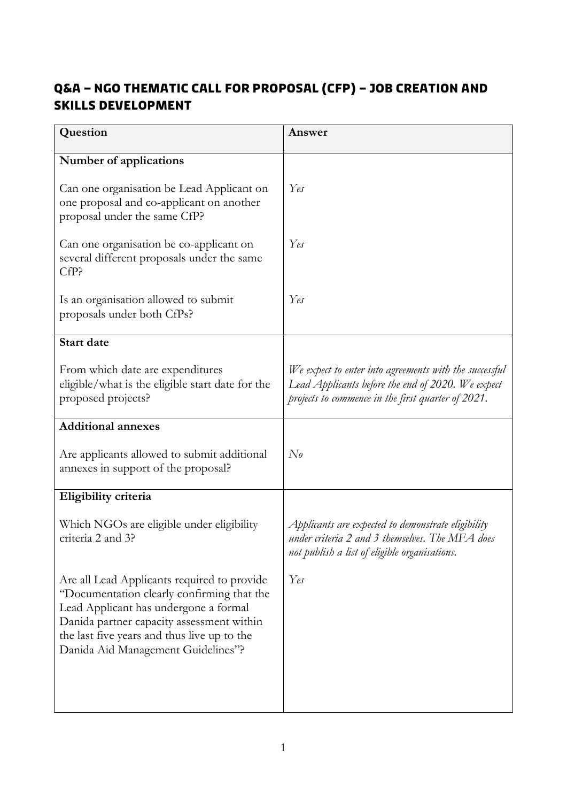## **Q&A – NGO Thematic Call for Proposal (CfP) – Job Creation and Skills Development**

| Question                                                                                                                                                                                                                                                             | Answer                                                                                                                                                            |
|----------------------------------------------------------------------------------------------------------------------------------------------------------------------------------------------------------------------------------------------------------------------|-------------------------------------------------------------------------------------------------------------------------------------------------------------------|
| Number of applications                                                                                                                                                                                                                                               |                                                                                                                                                                   |
| Can one organisation be Lead Applicant on<br>one proposal and co-applicant on another<br>proposal under the same CfP?                                                                                                                                                | Yes                                                                                                                                                               |
| Can one organisation be co-applicant on<br>several different proposals under the same<br>CfP?                                                                                                                                                                        | Yes                                                                                                                                                               |
| Is an organisation allowed to submit<br>proposals under both CfPs?                                                                                                                                                                                                   | Yes                                                                                                                                                               |
| <b>Start date</b>                                                                                                                                                                                                                                                    |                                                                                                                                                                   |
| From which date are expenditures<br>eligible/what is the eligible start date for the<br>proposed projects?                                                                                                                                                           | We expect to enter into agreements with the successful<br>Lead Applicants before the end of 2020. We expect<br>projects to commence in the first quarter of 2021. |
| <b>Additional annexes</b>                                                                                                                                                                                                                                            |                                                                                                                                                                   |
| Are applicants allowed to submit additional<br>annexes in support of the proposal?                                                                                                                                                                                   | $N_{\theta}$                                                                                                                                                      |
| Eligibility criteria                                                                                                                                                                                                                                                 |                                                                                                                                                                   |
| Which NGOs are eligible under eligibility<br>criteria 2 and 3?                                                                                                                                                                                                       | Applicants are expected to demonstrate eligibility<br>under criteria 2 and 3 themselves. The MFA does<br>not publish a list of eligible organisations.            |
| Are all Lead Applicants required to provide<br>"Documentation clearly confirming that the<br>Lead Applicant has undergone a formal<br>Danida partner capacity assessment within<br>the last five years and thus live up to the<br>Danida Aid Management Guidelines"? | Yes                                                                                                                                                               |